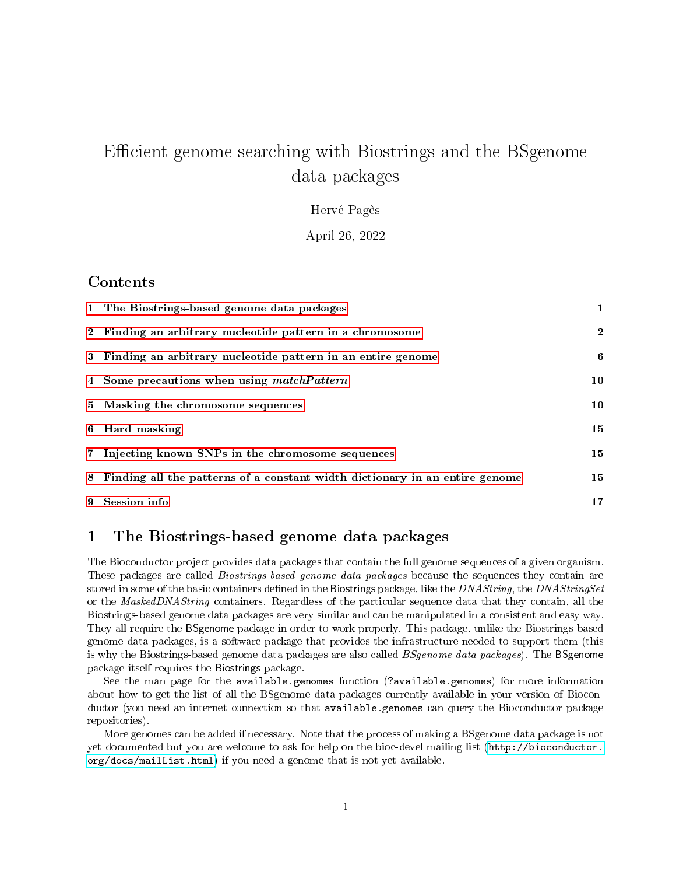# Efficient genome searching with Biostrings and the BSgenome data packages

Hervé Pagès

April 26, 2022

#### Contents

| 1 The Biostrings-based genome data packages                                   | $\mathbf{1}$ |
|-------------------------------------------------------------------------------|--------------|
| 2 Finding an arbitrary nucleotide pattern in a chromosome                     | $\mathbf{2}$ |
| 3 Finding an arbitrary nucleotide pattern in an entire genome                 | 6            |
| 4 Some precautions when using matchPattern                                    | 10           |
| 5 Masking the chromosome sequences                                            | 10           |
| 6 Hard masking                                                                | 15           |
| 7 Injecting known SNPs in the chromosome sequences                            | 15           |
| 8 Finding all the patterns of a constant width dictionary in an entire genome | 15           |
| 9 Session info                                                                | 17           |

## <span id="page-0-0"></span>1 The Biostrings-based genome data packages

The Bioconductor project provides data packages that contain the full genome sequences of a given organism. These packages are called *Biostrings-based genome data packages* because the sequences they contain are stored in some of the basic containers defined in the Biostrings package, like the DNAString, the DNAStringSet or the MaskedDNAString containers. Regardless of the particular sequence data that they contain, all the Biostrings-based genome data packages are very similar and can be manipulated in a consistent and easy way. They all require the BSgenome package in order to work properly. This package, unlike the Biostrings-based genome data packages, is a software package that provides the infrastructure needed to support them (this is why the Biostrings-based genome data packages are also called *BSgenome data packages*). The BSgenome package itself requires the Biostrings package.

See the man page for the available.genomes function (?available.genomes) for more information about how to get the list of all the BSgenome data packages currently available in your version of Bioconductor (you need an internet connection so that available.genomes can query the Bioconductor package repositories).

More genomes can be added if necessary. Note that the process of making a BSgenome data package is not yet documented but you are welcome to ask for help on the bioc-devel mailing list [\(http://bioconductor.](http://bioconductor.org/docs/mailList.html) [org/docs/mailList.html\)](http://bioconductor.org/docs/mailList.html) if you need a genome that is not yet available.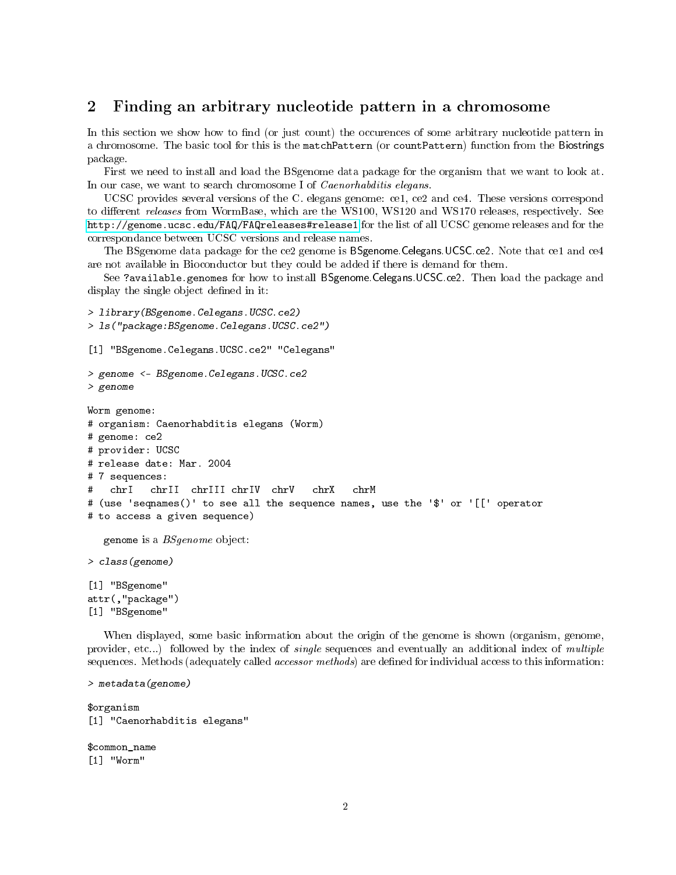#### <span id="page-1-0"></span>2 Finding an arbitrary nucleotide pattern in a chromosome

In this section we show how to find (or just count) the occurences of some arbitrary nucleotide pattern in a chromosome. The basic tool for this is the matchPattern (or countPattern) function from the Biostrings package.

First we need to install and load the BSgenome data package for the organism that we want to look at. In our case, we want to search chromosome I of *Caenorhabditis elegans*.

UCSC provides several versions of the C. elegans genome: ce1, ce2 and ce4. These versions correspond to different *releases* from WormBase, which are the WS100, WS120 and WS170 releases, respectively. See <http://genome.ucsc.edu/FAQ/FAQreleases#release1> for the list of all UCSC genome releases and for the correspondance between UCSC versions and release names.

The BSgenome data package for the ce2 genome is BSgenome.Celegans.UCSC.ce2. Note that ce1 and ce4 are not available in Bioconductor but they could be added if there is demand for them.

See ?available.genomes for how to install BSgenome.Celegans.UCSC.ce2. Then load the package and display the single object defined in it:

```
> library(BSgenome.Celegans.UCSC.ce2)
> ls("package:BSgenome.Celegans.UCSC.ce2")
[1] "BSgenome.Celegans.UCSC.ce2" "Celegans"
> genome <- BSgenome.Celegans.UCSC.ce2
> genome
Worm genome:
# organism: Caenorhabditis elegans (Worm)
# genome: ce2
# provider: UCSC
# release date: Mar. 2004
# 7 sequences:
# chrI chrII chrIII chrIV chrV chrX chrM
# (use 'seqnames()' to see all the sequence names, use the '$' or '[[' operator
# to access a given sequence)
  genome is a BSgenome object:
> class(genome)
[1] "BSgenome"
attr(,"package")
[1] "BSgenome"
```
When displayed, some basic information about the origin of the genome is shown (organism, genome, provider, etc...) followed by the index of *single* sequences and eventually an additional index of multiple sequences. Methods (adequately called *accessor methods*) are defined for individual access to this information:

```
> metadata(genome)
```
\$organism [1] "Caenorhabditis elegans"

\$common\_name [1] "Worm"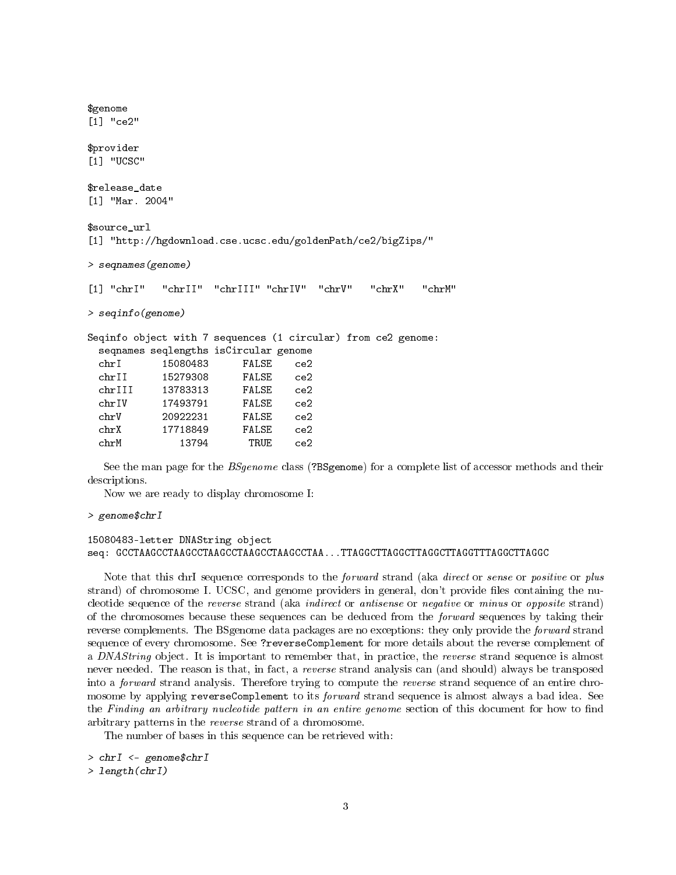| \$genome                |                                                               |       |     |  |        |
|-------------------------|---------------------------------------------------------------|-------|-----|--|--------|
| $\lceil 1 \rceil$ "ce2" |                                                               |       |     |  |        |
| \$provider              |                                                               |       |     |  |        |
| [1] "UCSC"              |                                                               |       |     |  |        |
| \$release date          |                                                               |       |     |  |        |
| $[1]$ "Mar. 2004"       |                                                               |       |     |  |        |
| \$source url            | [1] "http://hgdownload.cse.ucsc.edu/goldenPath/ce2/bigZips/"  |       |     |  |        |
|                         | > seqnames(genome)                                            |       |     |  |        |
|                         | [1] "chrI" "chrII" "chrIII" "chrIV" "chrV" "chrX"             |       |     |  | "chrM" |
| $>$ seqinfo(genome)     |                                                               |       |     |  |        |
|                         | Seqinfo object with 7 sequences (1 circular) from ce2 genome: |       |     |  |        |
|                         | seqnames seqlengths isCircular genome                         |       |     |  |        |
| chr1                    | 15080483                                                      | FALSE | ce2 |  |        |
|                         | chrII 15279308 FALSE ce2                                      |       |     |  |        |
|                         | chrIII 13783313 FALSE ce2                                     |       |     |  |        |
|                         | chrIV 17493791 FALSE ce2                                      |       |     |  |        |
|                         | chrV 20922231 FALSE ce2                                       |       |     |  |        |
|                         |                                                               |       | ce2 |  |        |
| chrM                    | 13794                                                         | TRUE  | ce2 |  |        |
|                         |                                                               |       |     |  |        |

See the man page for the *BSgenome* class (?BSgenome) for a complete list of accessor methods and their descriptions.

Now we are ready to display chromosome I:

> genome\$chrI

#### 15080483-letter DNAString object seq: GCCTAAGCCTAAGCCTAAGCCTAAGCCTAAGCCTAA...TTAGGCTTAGGCTTAGGCTTAGGTTTAGGCTTAGGC

Note that this chrI sequence corresponds to the *forward* strand (aka *direct* or *sense* or *positive* or *plus* strand) of chromosome I. UCSC, and genome providers in general, don't provide files containing the nucleotide sequence of the reverse strand (aka indirect or antisense or negative or minus or opposite strand) of the chromosomes because these sequences can be deduced from the *forward* sequences by taking their reverse complements. The BS genome data packages are no exceptions: they only provide the *forward* strand sequence of every chromosome. See ?reverseComplement for more details about the reverse complement of a DNAString object. It is important to remember that, in practice, the reverse strand sequence is almost never needed. The reason is that, in fact, a *reverse* strand analysis can (and should) always be transposed into a forward strand analysis. Therefore trying to compute the reverse strand sequence of an entire chromosome by applying reverseComplement to its *forward* strand sequence is almost always a bad idea. See the Finding an arbitrary nucleotide pattern in an entire genome section of this document for how to find arbitrary patterns in the reverse strand of a chromosome.

The number of bases in this sequence can be retrieved with:

```
> chrI <- genome$chrI
```

```
> length(chrI)
```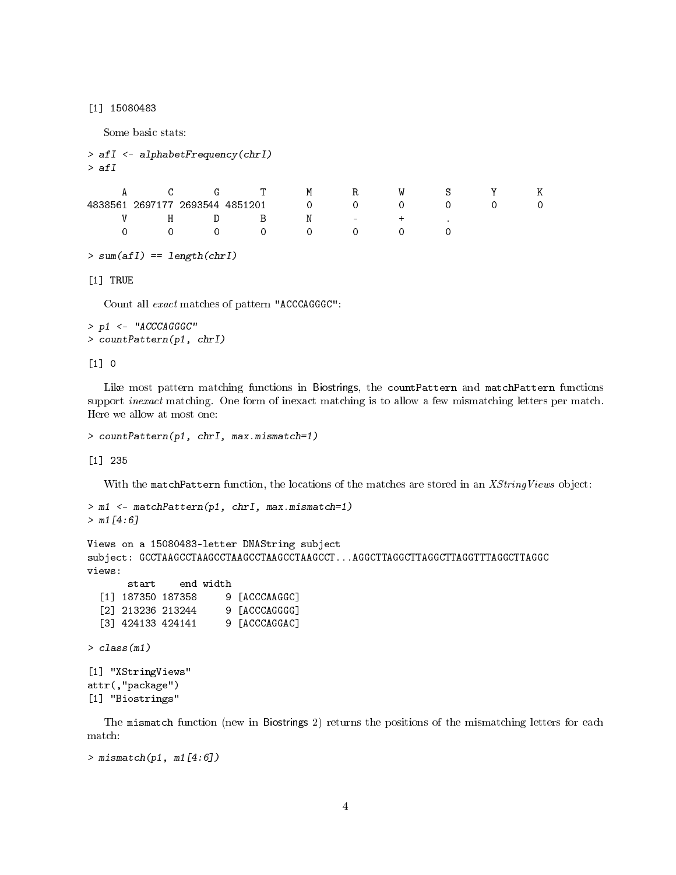[1] 15080483

Some basic stats:

```
> afI <- alphabetFrequency(chrI)
> afI
  A C G T M R W S Y K
4838561 2697177 2693544 4851201 0 0 0 0 0 0
  V H D B N - + .
  0 0 0 0 0 0 0 0
```

```
> sum(afI) == length(chrI)
```
[1] TRUE

Count all exact matches of pattern "ACCCAGGGC":

```
> p1 <- "ACCCAGGGC"
> countPattern(p1, chrI)
```
[1] 0

Like most pattern matching functions in Biostrings, the countPattern and matchPattern functions support *inexact* matching. One form of inexact matching is to allow a few mismatching letters per match. Here we allow at most one:

```
> countPattern(p1, chrI, max.mismatch=1)
```
[1] 235

With the matchPattern function, the locations of the matches are stored in an XStringViews object:

```
> m1 <- matchPattern(p1, chrI, max.mismatch=1)
> m1[4:6]
```

```
Views on a 15080483-letter DNAString subject
subject: GCCTAAGCCTAAGCCTAAGCCTAAGCCTAAGCCT...AGGCTTAGGCTTAGGCTTAGGTTTAGGCTTAGGC
views:
      start end width
```

```
[1] 187350 187358 9 [ACCCAAGGC]
[2] 213236 213244 9 [ACCCAGGGG]
[3] 424133 424141 9 [ACCCAGGAC]
```
> class(m1)

```
[1] "XStringViews"
attr(,"package")
[1] "Biostrings"
```
The mismatch function (new in Biostrings 2) returns the positions of the mismatching letters for each match:

```
> mismatch(p1, m1[4:6])
```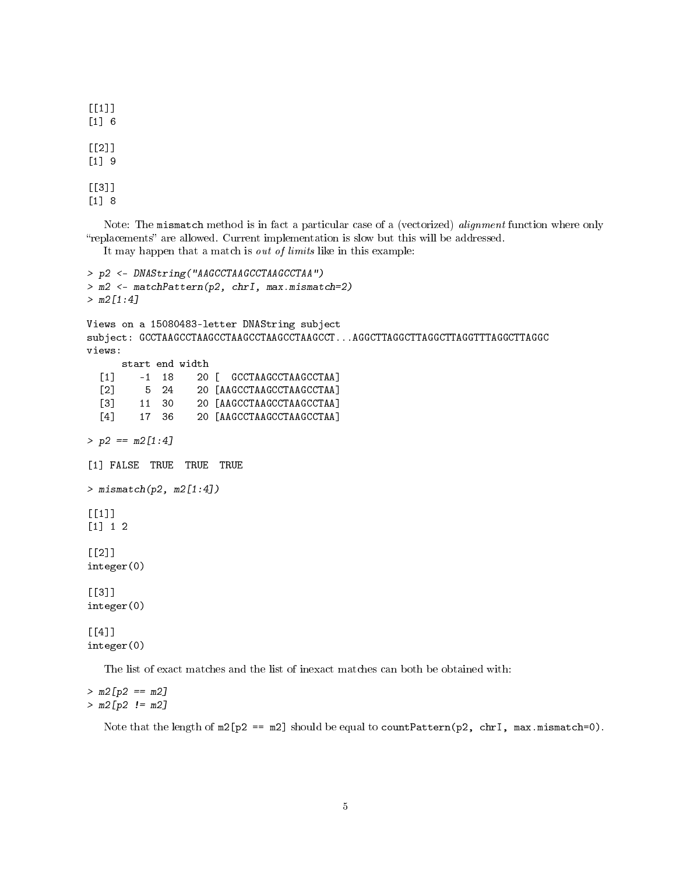$[$ [1]] [1] 6  $[$ [2]] [1] 9 [[3]] [1] 8

Note: The mismatch method is in fact a particular case of a (vectorized) *alignment* function where only "replacements" are allowed. Current implementation is slow but this will be addressed.

It may happen that a match is out of limits like in this example:

```
> p2 <- DNAString("AAGCCTAAGCCTAAGCCTAA")
> m2 <- matchPattern(p2, chrI, max.mismatch=2)
> m2[1:4]Views on a 15080483-letter DNAString subject
subject: GCCTAAGCCTAAGCCTAAGCCTAAGCCTAAGCCT...AGGCTTAGGCTTAGGCTTAGGTTTAGGCTTAGGC
views:
     start end width
  [1] -1 18 20 [ GCCTAAGCCTAAGCCTAA]
  [2] 5 24 20 [AAGCCTAAGCCTAAGCCTAA]
  [3] 11 30 20 [AAGCCTAAGCCTAAGCCTAA]
  [4] 17 36 20 [AAGCCTAAGCCTAAGCCTAA]
> p2 == m2[1:4][1] FALSE TRUE TRUE TRUE
> mismatch(p2, m2[1:4])
\lceil[1]]
[1] 1 2
[[2]]
integer(0)
[[3]]
integer(0)
[[4]]
integer(0)
```
The list of exact matches and the list of inexact matches can both be obtained with:

 $> m2[p2 == m2]$  $> m2[p2 := m2]$ 

Note that the length of  $m2[p2 == m2]$  should be equal to countPattern(p2, chrI,  $max.minsmatch=0$ ).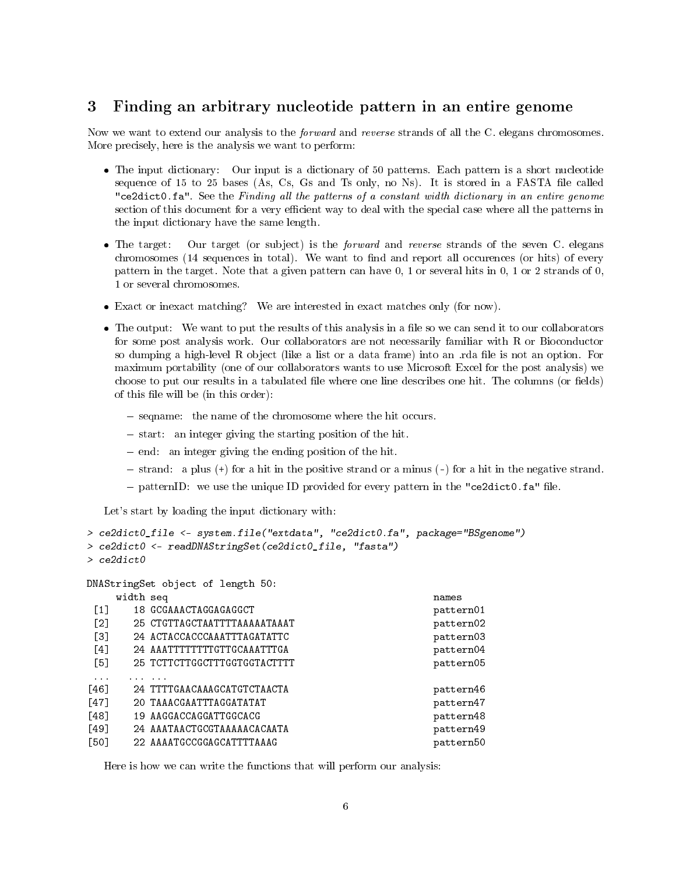#### <span id="page-5-0"></span>3 Finding an arbitrary nucleotide pattern in an entire genome

Now we want to extend our analysis to the *forward* and *reverse* strands of all the C. elegans chromosomes. More precisely, here is the analysis we want to perform:

- The input dictionary: Our input is a dictionary of 50 patterns. Each pattern is a short nucleotide sequence of 15 to 25 bases (As, Cs, Gs and Ts only, no Ns). It is stored in a FASTA file called "ce2dict0.fa". See the Finding all the patterns of a constant width dictionary in an entire genome section of this document for a very efficient way to deal with the special case where all the patterns in the input dictionary have the same length.
- $\bullet$  The target: Our target (or subject) is the *forward* and *reverse* strands of the seven C. elegans chromosomes (14 sequences in total). We want to find and report all occurences (or hits) of every pattern in the target. Note that a given pattern can have 0, 1 or several hits in 0, 1 or 2 strands of 0, 1 or several chromosomes.
- Exact or inexact matching? We are interested in exact matches only (for now).
- The output: We want to put the results of this analysis in a file so we can send it to our collaborators for some post analysis work. Our collaborators are not necessarily familiar with R or Bioconductor so dumping a high-level R object (like a list or a data frame) into an reda file is not an option. For maximum portability (one of our collaborators wants to use Microsoft Excel for the post analysis) we choose to put our results in a tabulated file where one line describes one hit. The columns (or fields) of this file will be (in this order):
	- seqname: the name of the chromosome where the hit occurs.
	- $-$  start: an integer giving the starting position of the hit.
	- $\epsilon$  end: an integer giving the ending position of the hit.
	- $s =$  strand: a plus (+) for a hit in the positive strand or a minus (-) for a hit in the negative strand.
	- $p =$  patternID: we use the unique ID provided for every pattern in the "ce2dict0.fa" file.

Let's start by loading the input dictionary with:

```
> ce2dict0_file <- system.file("extdata", "ce2dict0.fa", package="BSgenome")
> ce2dict0 <- readDNAStringSet(ce2dict0_file, "fasta")
> ce2dict0
DNAStringSet object of length 50:
   width seq names
[1] 18 GCGAAACTAGGAGAGGCT pattern01
[2] 25 CTGTTAGCTAATTTTAAAAATAAAT pattern02
[3] 24 ACTACCACCCAAATTTAGATATTC pattern03
[4] 24 AAATTTTTTTTGTTGCAAATTTGA pattern04
[5] 25 TCTTCTTGGCTTTGGTGGTACTTTT pattern05
... ... ...
[46] 24 TTTTGAACAAAGCATGTCTAACTA pattern46
[47] 20 TAAACGAATTTAGGATATAT pattern47 pattern47
[48] 19 AAGGACCAGGATTGGCACG pattern48
[49] 24 AAATAACTGCGTAAAAACACAATA pattern49
[50] 22 AAAATGCCGGAGCATTTTAAAG pattern50
```
Here is how we can write the functions that will perform our analysis: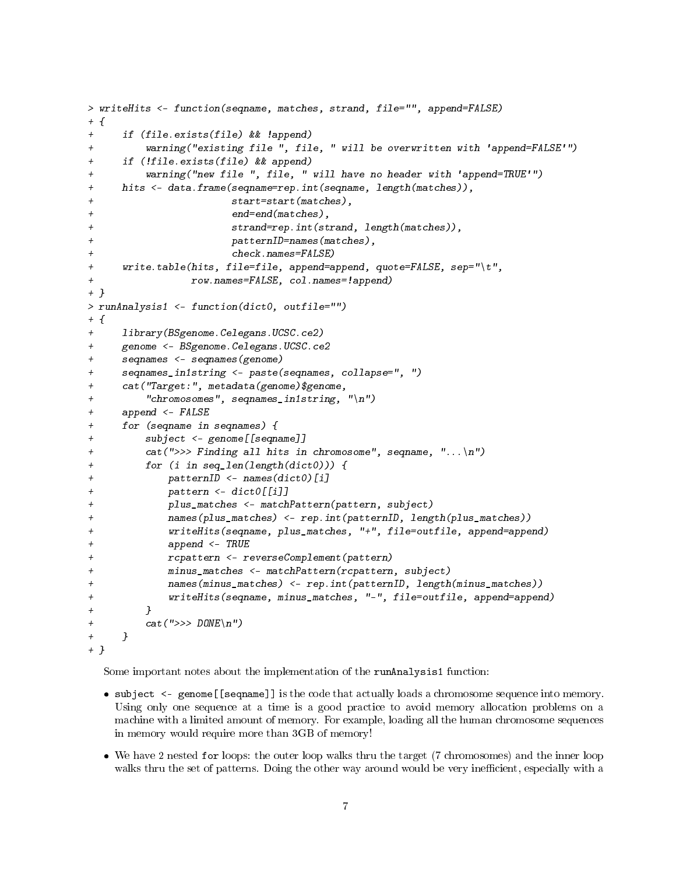```
> writeHits <- function(seqname, matches, strand, file="", append=FALSE)
+ {
+ if (file.exists(file) && !append)
+ warning("existing file ", file, " will be overwritten with 'append=FALSE'")
+ if (!file.exists(file) && append)
+ warning("new file ", file, " will have no header with 'append=TRUE'")
+ hits <- data.frame(seqname=rep.int(seqname, length(matches)),
+ start=start(matches),
+ end=end(matches),
+ strand=rep.int(strand, length(matches)),
+ patternID=names(matches),
+ check.names=FALSE)
+ write.table(hits, file=file, append=append, quote=FALSE, sep="\t",
+ row.names=FALSE, col.names=!append)
+ }
> runAnalysis1 <- function(dict0, outfile="")
+ {
+ library(BSgenome.Celegans.UCSC.ce2)
+ genome <- BSgenome.Celegans.UCSC.ce2
+ seqnames <- seqnames(genome)
+ seqnames_in1string <- paste(seqnames, collapse=", ")
+ cat("Target:", metadata(genome)$genome,
+ "chromosomes", seqnames_in1string, "\n")
+ append <- FALSE
+ for (seqname in seqnames) {
+ subject <- genome[[seqname]]
+ cat(">>> Finding all hits in chromosome", seqname, "...\n")
+ for (i in seq_len(length(dict0))) {
+ patternID <- names(dict0)[i]
+ pattern <- dict0[[i]]
+ plus_matches <- matchPattern(pattern, subject)
+ names(plus_matches) <- rep.int(patternID, length(plus_matches))
+ writeHits(seqname, plus_matches, "+", file=outfile, append=append)
+ append <- TRUE
+ rcpattern <- reverseComplement(pattern)
+ minus_matches <- matchPattern(rcpattern, subject)
+ names(minus_matches) <- rep.int(patternID, length(minus_matches))
+ writeHits(seqname, minus_matches, "-", file=outfile, append=append)
+ }
+ cat(">> DONE\n\rangle n"+ }
+ }
```
Some important notes about the implementation of the runAnalysis1 function:

- subject <- genome[[seqname]] is the code that actually loads a chromosome sequence into memory. Using only one sequence at a time is a good practice to avoid memory allocation problems on a machine with a limited amount of memory. For example, loading all the human chromosome sequences in memory would require more than 3GB of memory!
- We have 2 nested for loops: the outer loop walks thru the target (7 chromosomes) and the inner loop walks thru the set of patterns. Doing the other way around would be very inefficient, especially with a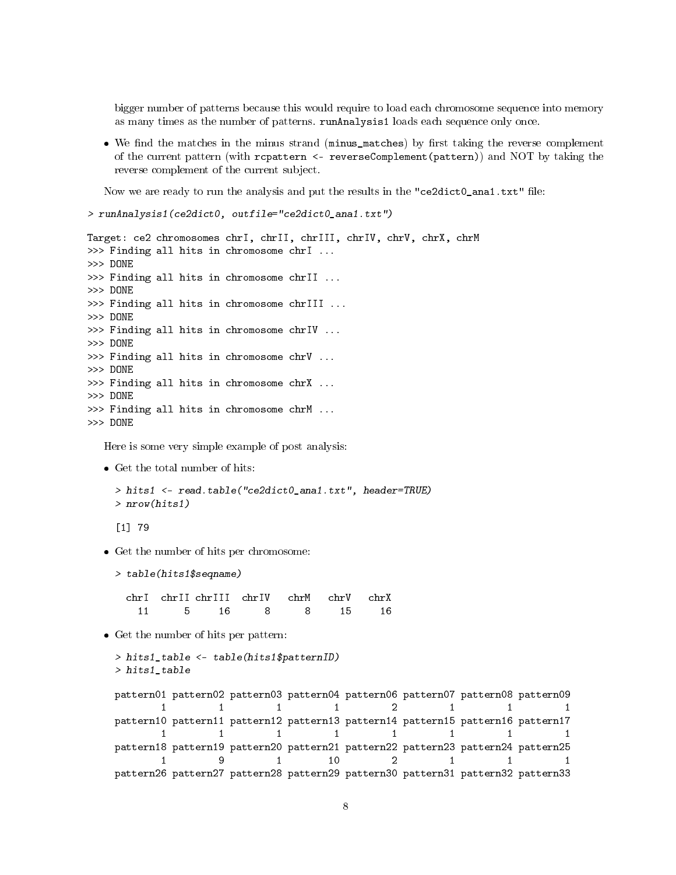bigger number of patterns because this would require to load each chromosome sequence into memory as many times as the number of patterns. runAnalysis1 loads each sequence only once.

• We find the matches in the minus strand (minus\_matches) by first taking the reverse complement of the current pattern (with rcpattern <- reverseComplement(pattern)) and NOT by taking the reverse complement of the current subject.

Now we are ready to run the analysis and put the results in the "ce2dict0\_ana1.txt" file:

```
> runAnalysis1(ce2dict0, outfile="ce2dict0_ana1.txt")
```

```
Target: ce2 chromosomes chrI, chrII, chrIII, chrIV, chrV, chrX, chrM
>>> Finding all hits in chromosome chrI ...
>>> DONE
>>> Finding all hits in chromosome chrII ...
>>> DONE
>>> Finding all hits in chromosome chrIII ...
>>> DONE
>>> Finding all hits in chromosome chrIV ...
>>> DONE
>>> Finding all hits in chromosome chrV ...
>>> DONE
>>> Finding all hits in chromosome chrX ...
>>> DONE
>>> Finding all hits in chromosome chrM ...
>>> DONE
```
Here is some very simple example of post analysis:

Get the total number of hits:

```
> hits1 <- read.table("ce2dict0_ana1.txt", header=TRUE)
> nrow(hits1)
```
[1] 79

- Get the number of hits per chromosome:
	- > table(hits1\$seqname)

chrI chrII chrIII chrIV chrM chrV chrX 11 5 16 8 8 15 16

Get the number of hits per pattern:

```
> hits1_table <- table(hits1$patternID)
> hits1_table
```
pattern01 pattern02 pattern03 pattern04 pattern06 pattern07 pattern08 pattern09 1 1 1 2 1 1 1 pattern10 pattern11 pattern12 pattern13 pattern14 pattern15 pattern16 pattern17 1 1 1 1 1 1 1 1 1 pattern18 pattern19 pattern20 pattern21 pattern22 pattern23 pattern24 pattern25 1 9 1 10 2 1 1 1 pattern26 pattern27 pattern28 pattern29 pattern30 pattern31 pattern32 pattern33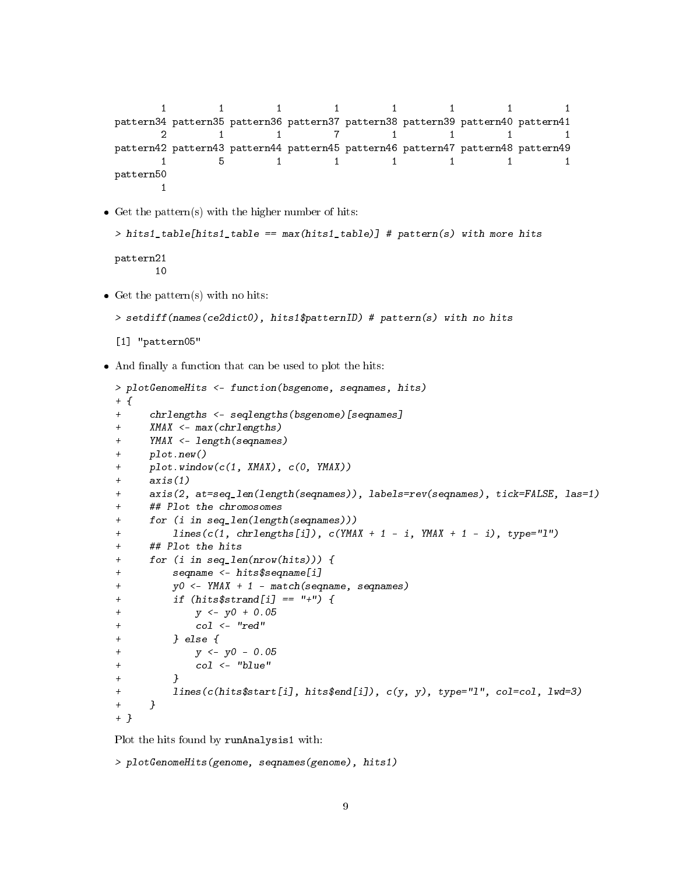```
1 1 1 1 1 1 1 1
pattern34 pattern35 pattern36 pattern37 pattern38 pattern39 pattern40 pattern41
    2 1 1 7 1 1 1 1
pattern42 pattern43 pattern44 pattern45 pattern46 pattern47 pattern48 pattern49
    1 5 1 1 1 1 1 1
pattern50
    1
```
 $\bullet$  Get the pattern(s) with the higher number of hits:

```
> hits1_table[hits1_table == max(hits1_table)] # pattern(s) with more hits
```

```
pattern21
       10
```
 $\bullet$  Get the pattern(s) with no hits:

```
> setdiff(names(ce2dict0), hits1$patternID) # pattern(s) with no hits
```

```
[1] "pattern05"
```
 $\bullet$  And finally a function that can be used to plot the hits:

```
> plotGenomeHits <- function(bsgenome, seqnames, hits)
+ {
+ chrlengths <- seqlengths(bsgenome)[seqnames]
+ XMAX <- max(chrlengths)
+ YMAX <- length(seqnames)
+ plot.new()
+ plot.window(c(1, XMAX), c(0, YMAX))
+ axis(1)
+ axis(2, at=seq_len(length(seqnames)), labels=rev(seqnames), tick=FALSE, las=1)
+ ## Plot the chromosomes
+ for (i in seq_len(length(seqnames)))
+ lines(c(1, chrlengths[i]), c(YMAX + 1 - i, YMAX + 1 - i), type="l")
+ ## Plot the hits
+ for (i in seq_len(nrow(hits))) {
+ seqname <- hits$seqname[i]
+ y0 <- YMAX + 1 - match(seqname, seqnames)
+ if (hits$strand[i] == " +") {
+ y <- y0 + 0.05
+ col \leftarrow "red"+ } else {
+ y <- y0 - 0.05
+ col <- "blue"
+ }
+ lines(c(hits$start[i], hits$end[i]), c(y, y), type="l", col=col, lwd=3)
+ }
+ }
```
Plot the hits found by runAnalysis1 with:

```
> plotGenomeHits(genome, seqnames(genome), hits1)
```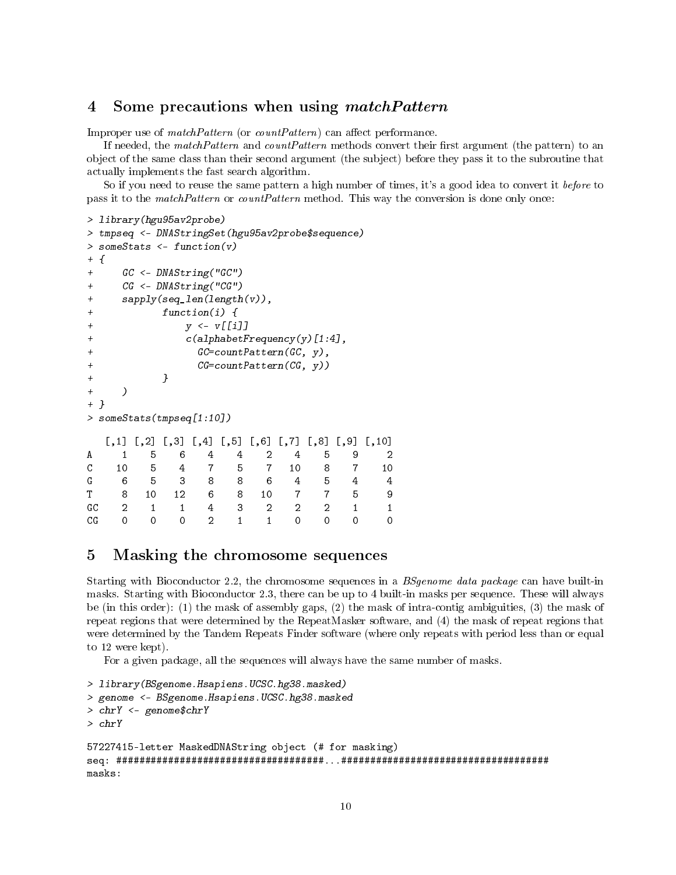#### <span id="page-9-0"></span>4 Some precautions when using matchPattern

Improper use of  $matchPattern$  (or  $countPattern$ ) can affect performance.

If needed, the matchPattern and countPattern methods convert their first argument (the pattern) to an object of the same class than their second argument (the subject) before they pass it to the subroutine that actually implements the fast search algorithm.

So if you need to reuse the same pattern a high number of times, it's a good idea to convert it *before* to pass it to the *matchPattern* or *countPattern* method. This way the conversion is done only once:

```
> library(hgu95av2probe)
> tmpseq <- DNAStringSet(hgu95av2probe$sequence)
> someStats <- function(v)
+ {
+ GC <- DNAString("GC")
+ CG <- DNAString("CG")
+ sapply(seq_len(length(v)),
+ function(i) {
+ y <- v[[i]]
+ c(alphabetFrequency(y)[1:4],
+ GC=countPattern(GC, y),
+ CG=countPattern(CG, y))
+ }
+ )
+ }
> someStats(tmpseq[1:10])
  [,1] [,2] [,3] [,4] [,5] [,6] [,7] [,8] [,9] [,10]
A 1 5 6 4 4 2 4 5 9 2
C 10 5 4 7 5 7 10 8 7 10
G 6 5 3 8 8 6 4 5 4 4
T 8 10 12 6 8 10 7 7 5 9
GC 2 1 1 4 3 2 2 2 1 1
CG 0 0 0 2 1 1 0 0 0 0
```
#### <span id="page-9-1"></span>5 Masking the chromosome sequences

Starting with Bioconductor 2.2, the chromosome sequences in a *BSgenome data package* can have built-in masks. Starting with Bioconductor 2.3, there can be up to 4 built-in masks per sequence. These will always be (in this order): (1) the mask of assembly gaps, (2) the mask of intra-contig ambiguities, (3) the mask of repeat regions that were determined by the RepeatMasker software, and (4) the mask of repeat regions that were determined by the Tandem Repeats Finder software (where only repeats with period less than or equal to 12 were kept).

For a given package, all the sequences will always have the same number of masks.

```
> library(BSgenome.Hsapiens.UCSC.hg38.masked)
> genome <- BSgenome.Hsapiens.UCSC.hg38.masked
> chrY <- genome$chrY
> chrY
57227415-letter MaskedDNAString object (# for masking)
seq: ####################################...####################################
masks:
```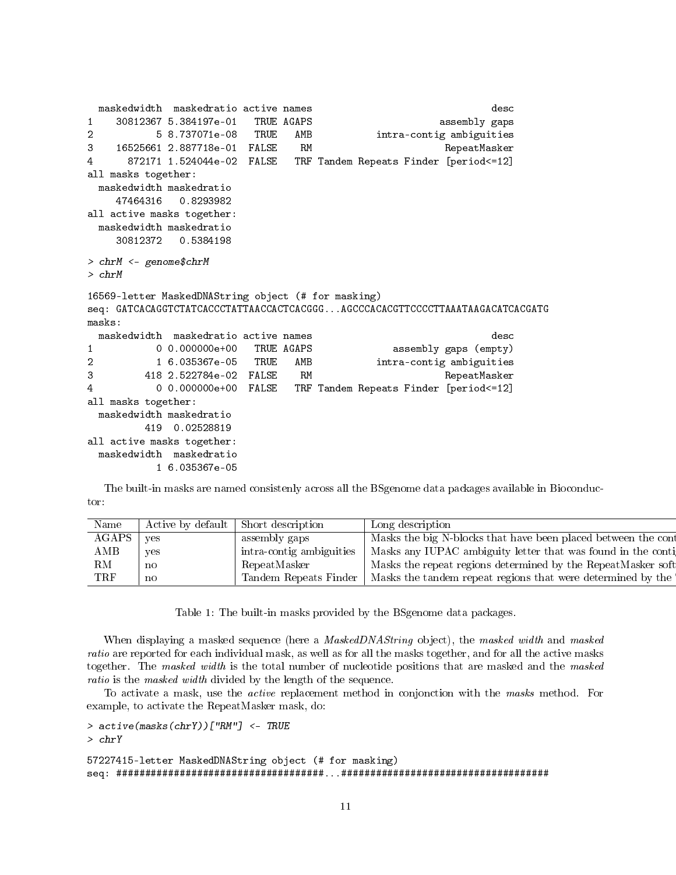```
maskedwidth maskedratio active names desc
1 30812367 5.384197e-01 TRUE AGAPS assembly gaps
2 5 8.737071e-08 TRUE AMB intra-contig ambiguities
3 16525661 2.887718e-01 FALSE RM RepeatMasker
4 872171 1.524044e-02 FALSE TRF Tandem Repeats Finder [period<=12]
all masks together:
 maskedwidth maskedratio
   47464316 0.8293982
all active masks together:
 maskedwidth maskedratio
   30812372 0.5384198
> chrM <- genome$chrM
> chrM
16569-letter MaskedDNAString object (# for masking)
seq: GATCACAGGTCTATCACCCTATTAACCACTCACGGG...AGCCCACACGTTCCCCTTAAATAAGACATCACGATG
masks:
 maskedwidth maskedratio active names desc
1 0 0.000000e+00 TRUE AGAPS assembly gaps (empty)
2 1 6.035367e-05 TRUE AMB intra-contig ambiguities
3 418 2.522784e-02 FALSE RM RepeatMasker
4 0 0.000000e+00 FALSE TRF Tandem Repeats Finder [period<=12]
all masks together:
 maskedwidth maskedratio
       419 0.02528819
all active masks together:
 maskedwidth maskedratio
         1 6.035367e-05
```
The built-in masks are named consistenly across all the BSgenome data packages available in Bioconductor:

| Name           | Active by default   Short description |                          | <sup>1</sup> Long description                                      |
|----------------|---------------------------------------|--------------------------|--------------------------------------------------------------------|
| $AGAPS$   yes  |                                       | assembly gaps            | Masks the big N-blocks that have been placed between the con       |
| $\mathbf{AMB}$ |                                       | intra-contig ambiguities | $s$   Masks any IUPAC ambiguity letter that was found in the conti |
| RM             |                                       | RepeatMasker             | Masks the repeat regions determined by the RepeatMasker soft       |
| TRF            |                                       | Tandem Repeats Finder    | Masks the tandem repeat regions that were determined by the        |

Table 1: The built-in masks provided by the BSgenome data packages.

When displaying a masked sequence (here a *MaskedDNAString* object), the masked width and masked ratio are reported for each individual mask, as well as for all the masks together, and for all the active masks together. The masked width is the total number of nucleotide positions that are masked and the masked ratio is the masked width divided by the length of the sequence.

To activate a mask, use the *active* replacement method in conjonction with the masks method. For example, to activate the RepeatMasker mask, do:

> active(masks(chrY))["RM"] <- TRUE

```
> chrY
```
57227415-letter MaskedDNAString object (# for masking) seq: ####################################...####################################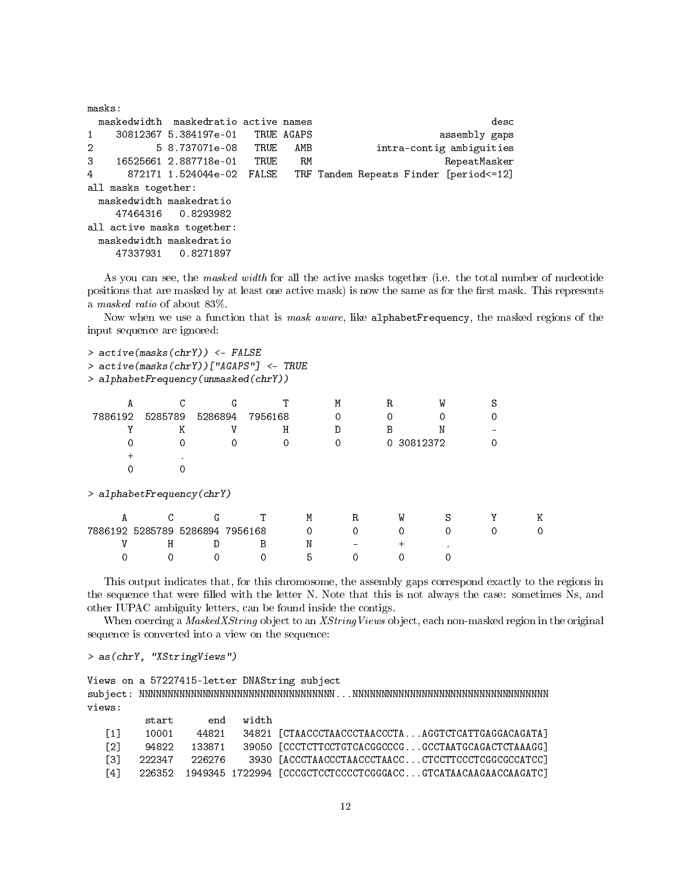| masks:         |                     |                                      |     |                                          |                          |      |
|----------------|---------------------|--------------------------------------|-----|------------------------------------------|--------------------------|------|
|                |                     | maskedwidth maskedratio active names |     |                                          |                          | desc |
| $1 \quad$      |                     | 30812367 5.384197e-01 TRUE AGAPS     |     |                                          | assembly gaps            |      |
| $2^{\circ}$    |                     | 5 8.737071e-08 TRUE                  | AMB |                                          | intra-contig ambiguities |      |
|                |                     | 3 16525661 2.887718e-01 TRUE         | RM  |                                          | RepeatMasker             |      |
| $\overline{4}$ |                     | 872171 1.524044e-02 FALSE            |     | TRF Tandem Repeats Finder [period <= 12] |                          |      |
|                | all masks together: |                                      |     |                                          |                          |      |
|                |                     | maskedwidth maskedratio              |     |                                          |                          |      |
|                |                     | 47464316 0.8293982                   |     |                                          |                          |      |
|                |                     | all active masks together:           |     |                                          |                          |      |
|                |                     | maskedwidth maskedratio              |     |                                          |                          |      |
|                |                     | 47337931 0.8271897                   |     |                                          |                          |      |

As you can see, the masked width for all the active masks together (i.e. the total number of nucleotide positions that are masked by at least one active mask) is now the same as for the first mask. This represents a masked ratio of about 83%.

Now when we use a function that is *mask aware*, like alphabetFrequency, the masked regions of the input sequence are ignored:

> active(masks(chrY)) <- FALSE

> active(masks(chrY))["AGAPS"] <- TRUE

> alphabetFrequency(unmasked(chrY))

| А       |         |                           |         |         |   | М | R |            | W |   |
|---------|---------|---------------------------|---------|---------|---|---|---|------------|---|---|
| 7886192 | 5285789 | 5286894                   |         | 7956168 |   |   |   |            |   |   |
|         |         | K                         |         | Н       |   | D | В |            |   |   |
|         |         |                           |         | 0       |   | Ω |   | 0 30812372 |   |   |
|         |         |                           |         |         |   |   |   |            |   |   |
|         |         |                           |         |         |   |   |   |            |   |   |
|         |         | > alphabetFrequency(chrY) |         |         |   |   |   |            |   |   |
| A       |         | G                         |         |         | М | R |   | W          |   | Κ |
|         |         | 7886192 5285789 5286894   | 7956168 |         |   |   |   |            |   |   |

V H D B N - + . 0 0 0 0 5 0 0 0

This output indicates that, for this chromosome, the assembly gaps correspond exactly to the regions in the sequence that were filled with the letter N. Note that this is not always the case: sometimes Ns, and other IUPAC ambiguity letters, can be found inside the contigs.

When coercing a MaskedXString object to an XStringViews object, each non-masked region in the original sequence is converted into a view on the sequence:

> as(chrY, "XStringViews")

Views on a 57227415-letter DNAString subject subject: NNNNNNNNNNNNNNNNNNNNNNNNNNNNNNNNNN...NNNNNNNNNNNNNNNNNNNNNNNNNNNNNNNNNN views:

|                   | start | end width |                                                                     |
|-------------------|-------|-----------|---------------------------------------------------------------------|
| $\lceil 1 \rceil$ | 10001 |           | 44821 34821 [CTAACCCTAACCCTAACCCTAAGGTCTCATTGAGGACAGATA]            |
| $\Gamma$ 21       |       |           | 94822 133871 39050 [CCCTCTTCCTGTCACGGCCCGGCCTAATGCAGACTCTAAAGG]     |
| <u>ГЗ1 -</u>      |       |           | 222347 226276 3930 [ACCCTAACCCTAACCCTAACCCTCCTTCCCTCGGCGCCATCC]     |
| Г41 —             |       |           | 226352 1949345 1722994 [CCCGCTCCTCCCCTCGGGACCGTCATAACAAGAACCAAGATC] |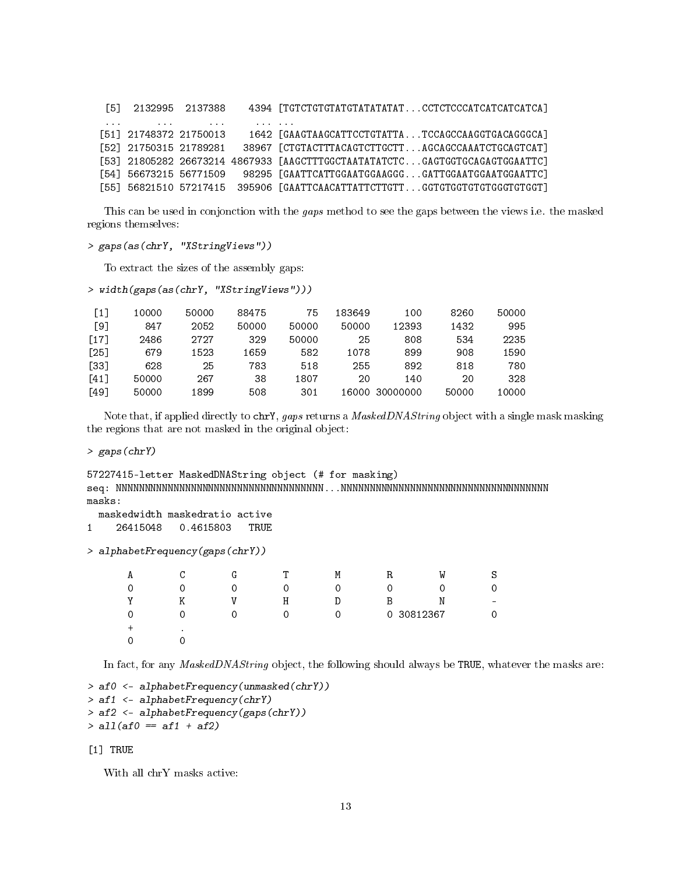[5] 2132995 2137388 4394 [TGTCTGTGTATGTATATATAT...CCTCTCCCATCATCATCATCA] ... ... ... ... ... [51] 21748372 21750013 1642 [GAAGTAAGCATTCCTGTATTA...TCCAGCCAAGGTGACAGGGCA] [52] 21750315 21789281 38967 [CTGTACTTTACAGTCTTGCTT...AGCAGCCAAATCTGCAGTCAT] [53] 21805282 26673214 4867933 [AAGCTTTGGCTAATATATCTC...GAGTGGTGCAGAGTGGAATTC] [54] 56673215 56771509 98295 [GAATTCATTGGAATGGAAGGG...GATTGGAATGGAATGGAATTC] [55] 56821510 57217415 395906 [GAATTCAACATTATTCTTGTT...GGTGTGGTGTGTGGGTGTGGT]

This can be used in conjonction with the gaps method to see the gaps between the views i.e. the masked regions themselves:

```
> gaps(as(chrY, "XStringViews"))
```
To extract the sizes of the assembly gaps:

```
> width(gaps(as(chrY, "XStringViews")))
```

| $\lceil 1 \rceil$  | 10000 | 50000 | 88475 | 75    | 183649 | 100            | 8260  | 50000 |
|--------------------|-------|-------|-------|-------|--------|----------------|-------|-------|
| T91                | 847   | 2052  | 50000 | 50000 | 50000  | 12393          | 1432  | 995   |
| [17]               | 2486  | 2727  | 329   | 50000 | 25     | 808            | 534   | 2235  |
| $\lceil 25 \rceil$ | 679   | 1523  | 1659  | 582   | 1078   | 899            | 908   | 1590  |
| T331               | 628   | 25    | 783   | 518   | 255    | 892            | 818   | 780   |
| F411               | 50000 | 267   | 38    | 1807  | 20     | 140            | 20    | 328   |
| [49]               | 50000 | 1899  | 508   | 301   |        | 16000 30000000 | 50000 | 10000 |
|                    |       |       |       |       |        |                |       |       |

Note that, if applied directly to chry, gaps returns a MaskedDNAString object with a single mask masking the regions that are not masked in the original object:

> gaps(chrY)

```
57227415-letter MaskedDNAString object (# for masking)
seq: NNNNNNNNNNNNNNNNNNNNNNNNNNNNNNNNNNNN...NNNNNNNNNNNNNNNNNNNNNNNNNNNNNNNNNNNN
masks:
```

```
maskedwidth maskedratio active
```

```
1 26415048 0.4615803 TRUE
```
> alphabetFrequency(gaps(chrY))

| А | C         | G | т | M        | R | W        | S                        |
|---|-----------|---|---|----------|---|----------|--------------------------|
| 0 | 0         |   |   | ∩        |   | 0        | 0                        |
| v | Κ         |   | Η | D        | Β | N        | $\overline{\phantom{0}}$ |
| 0 | 0         |   |   | $\Omega$ | 0 | 30812367 | 0                        |
|   | $\bullet$ |   |   |          |   |          |                          |
| 0 |           |   |   |          |   |          |                          |

In fact, for any *MaskedDNAString* object, the following should always be TRUE, whatever the masks are:

```
> af0 <- alphabetFrequency(unmasked(chrY))
> af1 <- alphabetFrequency(chrY)
> af2 <- alphabetFrequency(gaps(chrY))
> a11(af0 == af1 + af2)
```
[1] TRUE

With all chrY masks active: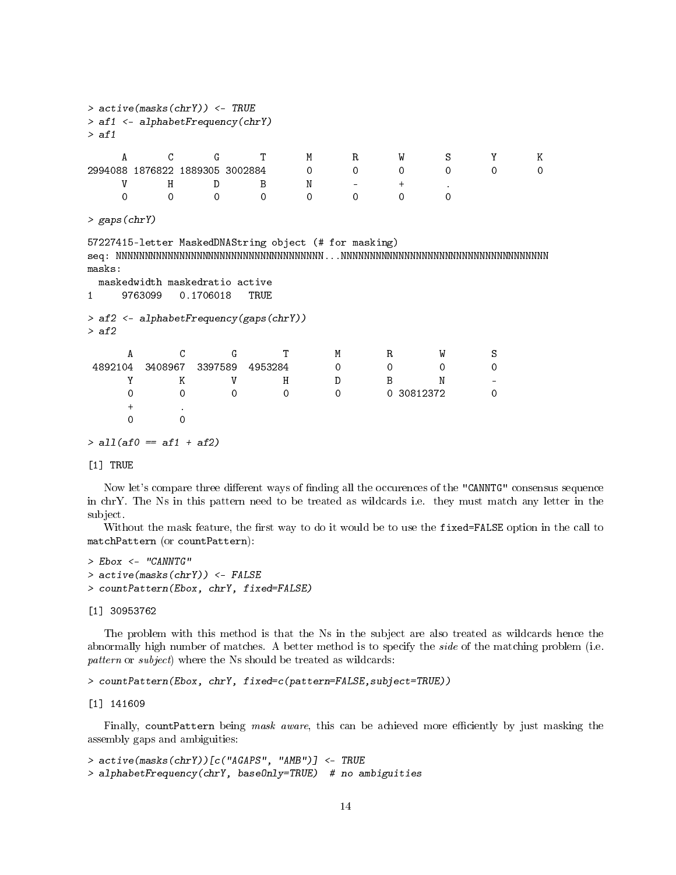```
> active(masks(chrY)) <- TRUE
> af1 <- alphabetFrequency(chrY)
> af1
   A C G T M R W S Y K
2994088 1876822 1889305 3002884 0 0 0 0 0 0
   V H D B N - + .
   0 0 0 0 0 0 0 0
> gaps(chrY)
57227415-letter MaskedDNAString object (# for masking)
seq: NNNNNNNNNNNNNNNNNNNNNNNNNNNNNNNNNNNN...NNNNNNNNNNNNNNNNNNNNNNNNNNNNNNNNNNNN
masks:
 maskedwidth maskedratio active
1 9763099 0.1706018 TRUE
> af2 <- alphabetFrequency(gaps(chrY))
> af2
    A C G T M R W S
4892104 3408967 3397589 4953284 0 0 0 0
    Y K V H D B N -
    0 0 0 0 0 0 30812372 0
    + .
    0 0
> all(af0 == af1 + af2)
```
[1] TRUE

Now let's compare three different ways of finding all the occurences of the "CANNTG" consensus sequence in chrY. The Ns in this pattern need to be treated as wildcards i.e. they must match any letter in the subject.

Without the mask feature, the first way to do it would be to use the fixed=FALSE option in the call to matchPattern (or countPattern):

```
> Ebox <- "CANNTG"
> active(masks(chrY)) <- FALSE
> countPattern(Ebox, chrY, fixed=FALSE)
```
[1] 30953762

The problem with this method is that the Ns in the subject are also treated as wildcards hence the abnormally high number of matches. A better method is to specify the side of the matching problem (i.e. pattern or subject) where the Ns should be treated as wildcards:

```
> countPattern(Ebox, chrY, fixed=c(pattern=FALSE,subject=TRUE))
```
[1] 141609

Finally, countPattern being mask aware, this can be achieved more efficiently by just masking the assembly gaps and ambiguities:

```
> active(masks(chrY))[c("AGAPS", "AMB")] <- TRUE
> alphabetFrequency(chrY, baseOnly=TRUE) # no ambiguities
```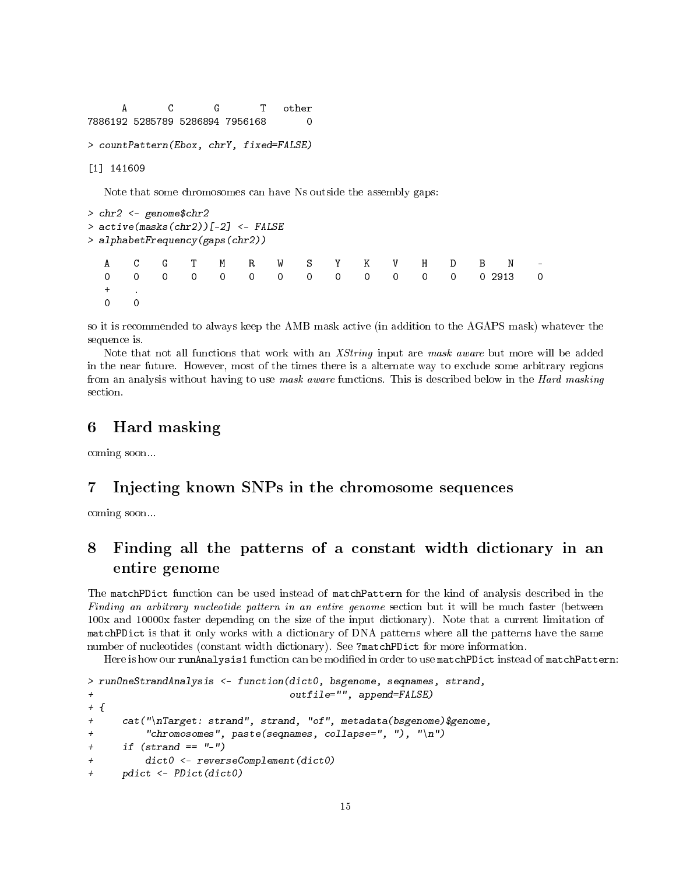A C G T other 7886192 5285789 5286894 7956168 0 > countPattern(Ebox, chrY, fixed=FALSE)

[1] 141609

Note that some chromosomes can have Ns outside the assembly gaps:

```
> chr2 <- genome$chr2
> active(masks(chr2))[-2] <- FALSE
> alphabetFrequency(gaps(chr2))
  A C G T M R W S Y K V H D B N -
  0 0 0 0 0 0 0 0 0 0 0 0 0 0 2913 0
  + .
  0 0
```
so it is recommended to always keep the AMB mask active (in addition to the AGAPS mask) whatever the sequence is.

Note that not all functions that work with an XString input are mask aware but more will be added in the near future. However, most of the times there is a alternate way to exclude some arbitrary regions from an analysis without having to use mask aware functions. This is described below in the Hard masking section.

## <span id="page-14-0"></span>6 Hard masking

coming soon...

## <span id="page-14-1"></span>7 Injecting known SNPs in the chromosome sequences

coming soon...

## <span id="page-14-2"></span>8 Finding all the patterns of a constant width dictionary in an entire genome

The matchPDict function can be used instead of matchPattern for the kind of analysis described in the Finding an arbitrary nucleotide pattern in an entire genome section but it will be much faster (between 100x and 10000x faster depending on the size of the input dictionary). Note that a current limitation of matchPDict is that it only works with a dictionary of DNA patterns where all the patterns have the same number of nucleotides (constant width dictionary). See ?matchPDict for more information.

Here is how our runAnalysis1 function can be modified in order to use matchPDict instead of matchPattern:

```
> runOneStrandAnalysis <- function(dict0, bsgenome, seqnames, strand,
+ outfile="", append=FALSE)
+ {
+ cat("\nTarget: strand", strand, "of", metadata(bsgenome)$genome,
+ "chromosomes", paste(seqnames, collapse=", "), "\n")
+ if (strand == "-"+ dict0 <- reverseComplement(dict0)
     pdict \leftarrow PDict(dict0)
```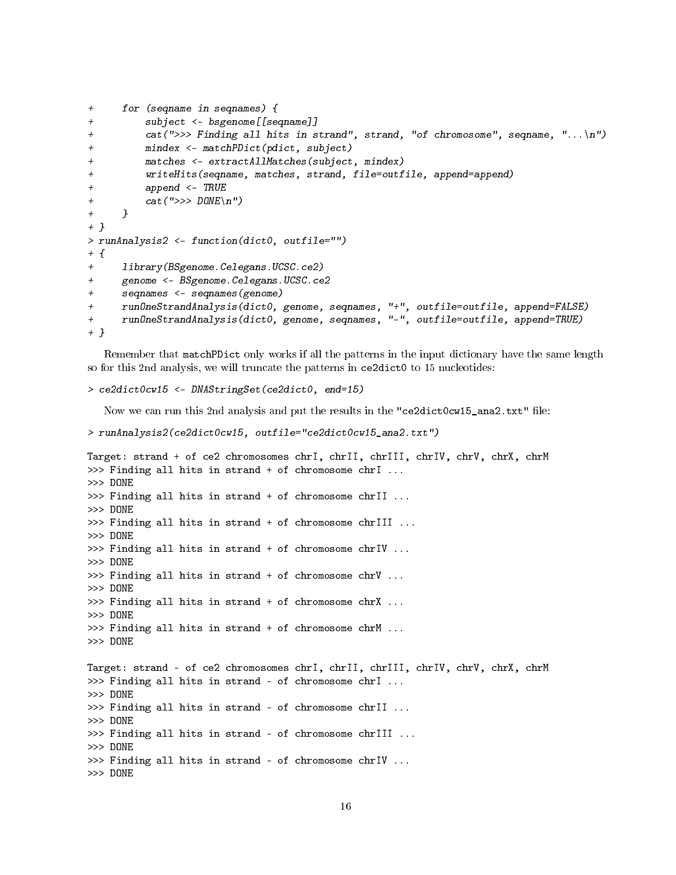```
+ for (seqname in seqnames) {
+ subject <- bsgenome[[seqname]]
+ cat(">>> Finding all hits in strand", strand, "of chromosome", seqname, "...\n")
+ mindex <- matchPDict(pdict, subject)
+ matches <- extractAllMatches(subject, mindex)
+ writeHits(seqname, matches, strand, file=outfile, append=append)
+ append <- TRUE
+ cat(">>> DONE\n")
+ }
+ }
> runAnalysis2 <- function(dict0, outfile="")
+ {
+ library(BSgenome.Celegans.UCSC.ce2)
+ genome <- BSgenome.Celegans.UCSC.ce2
+ seqnames <- seqnames(genome)
     runOneStrandAnalysis(dict0, genome, seqnames, "+", outfile=outfile, append=FALSE)
+ runOneStrandAnalysis(dict0, genome, seqnames, "-", outfile=outfile, append=TRUE)
+ }
```
Remember that matchPDict only works if all the patterns in the input dictionary have the same length so for this 2nd analysis, we will truncate the patterns in ce2dict0 to 15 nucleotides:

```
> ce2dict0cw15 <- DNAStringSet(ce2dict0, end=15)
```
Now we can run this 2nd analysis and put the results in the "ce2dict0cw15\_ana2.txt" file:

```
> runAnalysis2(ce2dict0cw15, outfile="ce2dict0cw15_ana2.txt")
```

```
Target: strand + of ce2 chromosomes chrI, chrII, chrIII, chrIV, chrV, chrX, chrM
>>> Finding all hits in strand + of chromosome chrI ...
>>> DONE
>>> Finding all hits in strand + of chromosome chrII ...
>>> DONE
>>> Finding all hits in strand + of chromosome chrIII ...
>>> DONE
>>> Finding all hits in strand + of chromosome chrIV ...
>>> DONE
>>> Finding all hits in strand + of chromosome chrV ...
>>> DONE
>>> Finding all hits in strand + of chromosome chrX ...
>>> DONE
>>> Finding all hits in strand + of chromosome chrM ...
>>> DONE
Target: strand - of ce2 chromosomes chrI, chrII, chrIII, chrIV, chrV, chrX, chrM
>>> Finding all hits in strand - of chromosome chrI ...
>>> DONE
>>> Finding all hits in strand - of chromosome chrII ...
>>> DONE
>>> Finding all hits in strand - of chromosome chrIII ...
>>> DONE
>>> Finding all hits in strand - of chromosome chrIV ...
>>> DONE
```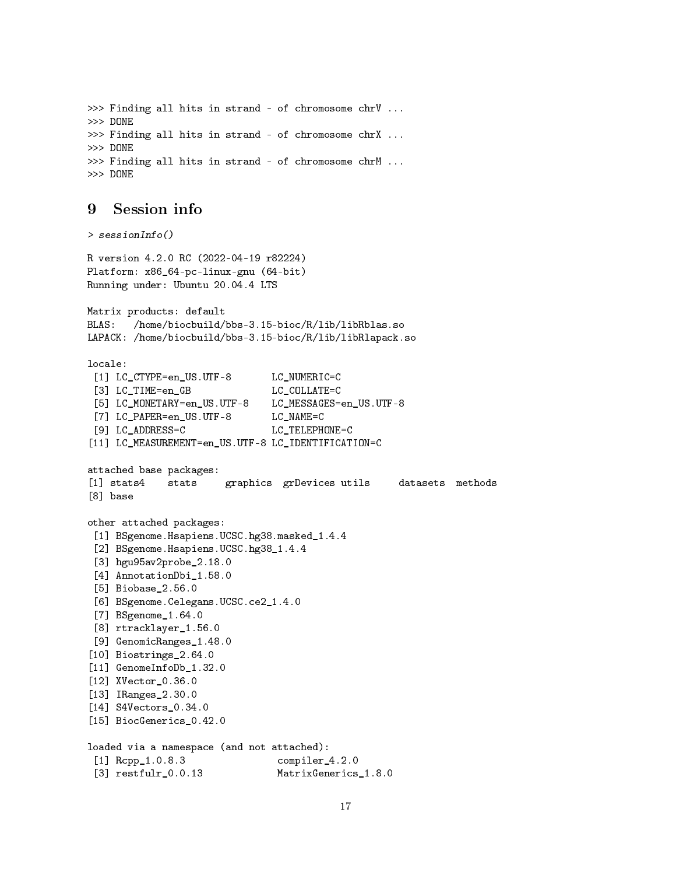```
>>> Finding all hits in strand - of chromosome chrV ...
>>> DONE
>>> Finding all hits in strand - of chromosome chrX ...
>>> DONE
>>> Finding all hits in strand - of chromosome chrM ...
>>> DONE
```
#### <span id="page-16-0"></span>9 Session info

```
> sessionInfo()
R version 4.2.0 RC (2022-04-19 r82224)
Platform: x86_64-pc-linux-gnu (64-bit)
Running under: Ubuntu 20.04.4 LTS
Matrix products: default
BLAS: /home/biocbuild/bbs-3.15-bioc/R/lib/libRblas.so
LAPACK: /home/biocbuild/bbs-3.15-bioc/R/lib/libRlapack.so
locale:
 [1] LC_CTYPE=en_US.UTF-8 LC_NUMERIC=C
 [3] LC TIME=en GB LC COLLATE=C
 [5] LC_MONETARY=en_US.UTF-8 LC_MESSAGES=en_US.UTF-8
 [7] LC PAPER=en US.UTF-8 LC NAME=C
[9] LC_ADDRESS=C LC_TELEPHONE=C
[11] LC_MEASUREMENT=en_US.UTF-8 LC_IDENTIFICATION=C
attached base packages:
[1] stats4 stats graphics grDevices utils datasets methods
[8] base
other attached packages:
 [1] BSgenome.Hsapiens.UCSC.hg38.masked_1.4.4
 [2] BSgenome.Hsapiens.UCSC.hg38_1.4.4
 [3] hgu95av2probe_2.18.0
 [4] AnnotationDbi_1.58.0
 [5] Biobase_2.56.0
 [6] BSgenome.Celegans.UCSC.ce2_1.4.0
 [7] BSgenome_1.64.0
 [8] rtracklayer_1.56.0
 [9] GenomicRanges 1.48.0
[10] Biostrings_2.64.0
[11] GenomeInfoDb_1.32.0
[12] XVector_0.36.0
[13] IRanges_2.30.0
[14] S4Vectors_0.34.0
[15] BiocGenerics_0.42.0
loaded via a namespace (and not attached):
 [1] Rcpp_1.0.8.3 compiler_4.2.0
 [3] restfulr_0.0.13 MatrixGenerics_1.8.0
```